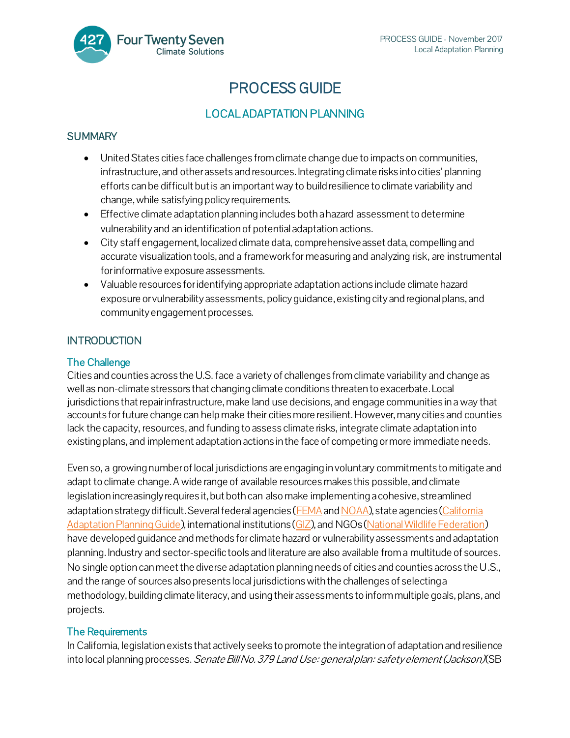

# PROCESS GUIDE

## LOCAL ADAPTATION PLANNING

### **SUMMARY**

- United States cities face challenges from climate change due to impacts on communities, infrastructure, and other assets and resources. Integrating climate risks into cities' planning efforts can be difficult but is an important way to build resilience to climate variability and change, while satisfying policy requirements.
- Effective climate adaptation planning includes both ahazard assessment to determine vulnerability and an identification of potential adaptation actions.
- City staff engagement, localized climate data, comprehensive asset data, compelling and accurate visualization tools, and a framework for measuring and analyzing risk, are instrumental for informative exposure assessments.
- Valuable resources for identifying appropriate adaptation actions include climate hazard exposure or vulnerability assessments, policy guidance, existing city and regional plans, and community engagement processes.

### **INTRODUCTION**

### The Challenge

Cities and counties across the U.S. face a variety of challenges from climate variability and change as well as non-climate stressors that changing climate conditions threaten to exacerbate. Local jurisdictions that repair infrastructure, make land use decisions, and engage communities in a way that accounts for future change can help make their cities more resilient. However, many cities and counties lack the capacity, resources, and funding to assess climate risks, integrate climate adaptation into existing plans, and implement adaptation actions in the face of competing or more immediate needs.

Even so, a growing number of local jurisdictions are engaging in voluntary commitments to mitigate and adapt to climate change. A wide range of available resources makes this possible, and climate legislation increasingly requires it, but both can also make implementing a cohesive, streamlined adaptation strategy difficult. Several federal agencies [\(FEMA](https://www.fema.gov/media-library-data/8ca0a9e54dc8b037a55b402b2a269e94/CPG201_htirag_2nd_edition.pdf) and [NOAA\)](http://gcmd.nasa.gov/records/NOAA_RVAT.html), state agencies (California [Adaptation Planning Guide\)](http://resources.ca.gov/docs/climate/01APG_Planning_for_Adaptive_Communities.pdf), international institutions [\(GIZ](http://resilient-cities.iclei.org/fileadmin/sites/resilient-cities/files/Full_papers/Vulnerability_sourcebook_guidelines_for_assessments_adelphi_giz_2014.pdf)), and NGOs [\(National Wildlife Federation](http://www.nwf.org/~/media/PDFs/Global-Warming/Climate-Smart-Conservation/NWFScanningtheConservationHorizonFINAL92311.ashx)) have developed guidance and methods for climate hazard or vulnerability assessments and adaptation planning. Industry and sector-specific tools and literature are also available from a multitude of sources. No single option can meet the diverse adaptation planning needs of cities and counties across the U.S., and the range of sources also presents local jurisdictions with the challenges of selecting a methodology, building climate literacy, and using their assessments to inform multiple goals, plans, and projects.

### The Requirements

In California, legislation exists that actively seeks to promote the integration of adaptation and resilience into local planning processes. Senate Bill No. 379 Land Use: general plan: safety element (Jackson) (SB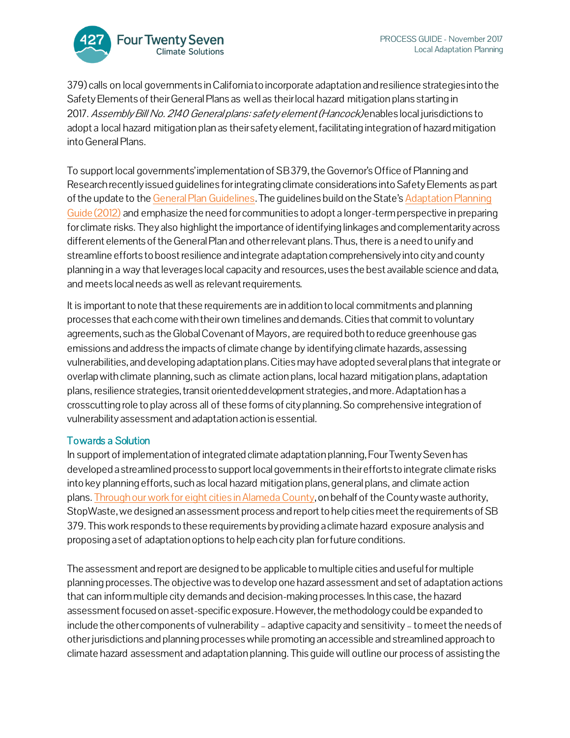

379) calls on local governments in California to incorporate adaptation and resilience strategies into the Safety Elements of their General Plans as well as their local hazard mitigation plans starting in 2017. Assembly Bill No. 2140 General plans: safety element (Hancock) enables local jurisdictions to adopt a local hazard mitigation plan as their safety element, facilitating integration of hazard mitigation into General Plans.

To support local governments' implementation of SB 379, the Governor's Office of Planning and Research recently issued guidelines for integrating climate considerations into Safety Elements as part of the update to th[e General Plan Guidelines](http://www.opr.ca.gov/planning/general-plan/). The guidelines build on the State's [Adaptation Planning](http://resources.ca.gov/docs/climate/01APG_Planning_for_Adaptive_Communities.pdf)  Guide [\(2012\)](http://resources.ca.gov/docs/climate/01APG_Planning_for_Adaptive_Communities.pdf) and emphasize the need for communities to adopt a longer-term perspective in preparing forclimate risks. They also highlight the importance of identifying linkages and complementarity across different elements of the General Plan and other relevant plans. Thus, there is a need to unify and streamline efforts to boost resilience and integrate adaptation comprehensively into city and county planning in a way that leverages local capacity and resources, uses the best available science and data, and meets local needs as well as relevant requirements.

It is important to note that these requirements are in addition to local commitments and planning processes that each come with their own timelines and demands. Cities that commit to voluntary agreements, such as the Global Covenant of Mayors, are required both to reduce greenhouse gas emissions and address the impacts of climate change by identifying climate hazards, assessing vulnerabilities, and developing adaptation plans. Cities may have adopted several plans that integrate or overlap with climate planning, such as climate action plans, local hazard mitigation plans, adaptation plans, resilience strategies, transit oriented development strategies,and more. Adaptation has a crosscutting role to play across all of these forms of city planning.So comprehensive integration of vulnerability assessment and adaptation action is essential.

### Towards a Solution

In support of implementation of integrated climate adaptation planning, Four Twenty Seven has developed a streamlined process to support local governments in their efforts to integrate climate risks into key planning efforts, such as local hazard mitigation plans, general plans, and climate action plans. [Through our work for eight](http://427mt.com/case-study-integrating-climate-risks-local-planning-alameda-county/) cities in Alameda County, on behalf of the County waste authority, StopWaste, we designed an assessment process and report to help cities meet the requirements of SB 379. This work responds to these requirements by providing a climate hazard exposure analysis and proposing a set of adaptation options to help each city plan for future conditions.

The assessment and report are designed to be applicable to multiple cities and useful for multiple planning processes. The objective was to develop one hazard assessment and set of adaptation actions that can inform multiple city demands and decision-making processes. In this case, the hazard assessment focused on asset-specific exposure. However, the methodology could be expanded to include the other components of vulnerability – adaptive capacity and sensitivity – to meet the needs of other jurisdictions and planning processes while promoting an accessible and streamlined approach to climate hazard assessment and adaptation planning. This guide will outline our process of assisting the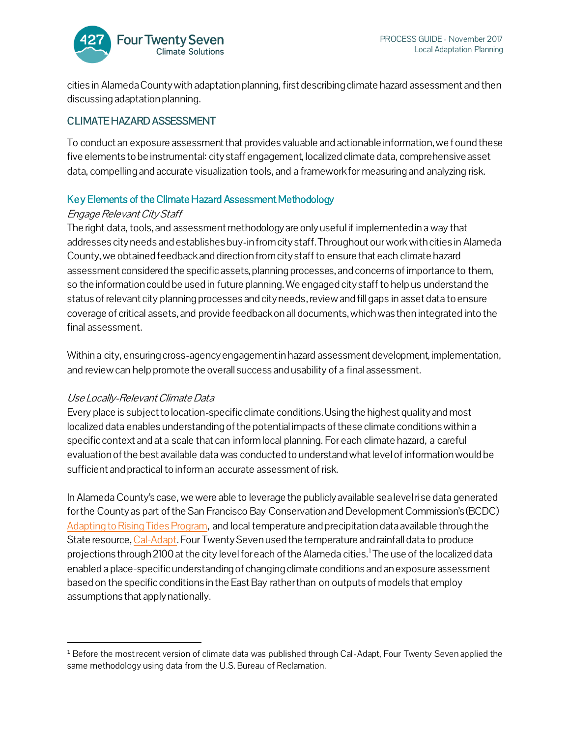

cities in Alameda County with adaptation planning, first describing climate hazard assessment and then discussing adaptation planning.

### CLIMATE HAZARD ASSESSMENT

To conduct an exposure assessment that provides valuable and actionable information, we found these five elements to be instrumental: city staff engagement, localized climate data, comprehensive asset data, compelling and accurate visualization tools, and a framework for measuring and analyzing risk.

#### Key Elements of the Climate Hazard Assessment Methodology

#### Engage Relevant City Staff

The right data, tools, and assessment methodology are only useful if implemented in a way that addresses city needs and establishes buy-in from city staff. Throughout our work with cities in Alameda County, we obtained feedback and direction from city staff to ensure that each climate hazard assessment considered the specific assets, planning processes, and concerns of importance to them, so the information could be used in future planning. We engaged city staff to help us understand the status of relevant city planning processes and city needs, review and fill gaps in asset data to ensure coverage of critical assets, and provide feedback on all documents, which was then integrated into the final assessment.

Within a city, ensuring cross-agency engagement in hazard assessment development, implementation, and review can help promote the overall success and usability of a final assessment.

### Use Locally-Relevant Climate Data

l

Every place is subject to location-specific climate conditions. Using the highest quality and most localized data enables understanding of the potential impacts of these climate conditions within a specific context and at a scale that can inform local planning. For each climate hazard, a careful evaluation of the best available data was conducted to understand what level of information would be sufficient and practical to inform an accurate assessment of risk.

In Alameda County's case, we were able to leverage the publicly available sea level rise data generated for the County as part of the San Francisco Bay Conservation and Development Commission's (BCDC) [Adapting to Rising Tides Program,](http://www.adaptingtorisingtides.org/) and local temperature and precipitation data available through the State resource[, Cal-Adapt.](http://cal-adapt.org/) Four Twenty Seven used the temperature and rainfall data to produce projections through 2100 at the city level for each of the Alameda cities.<sup>1</sup> The use of the localized data enabled a place-specific understanding of changing climate conditions and an exposure assessment based on the specific conditions in the East Bay rather than on outputs of models that employ assumptions that apply nationally.

<sup>&</sup>lt;sup>1</sup> Before the most recent version of climate data was published through Cal-Adapt, Four Twenty Seven applied the same methodology using data from the U.S. Bureau of Reclamation.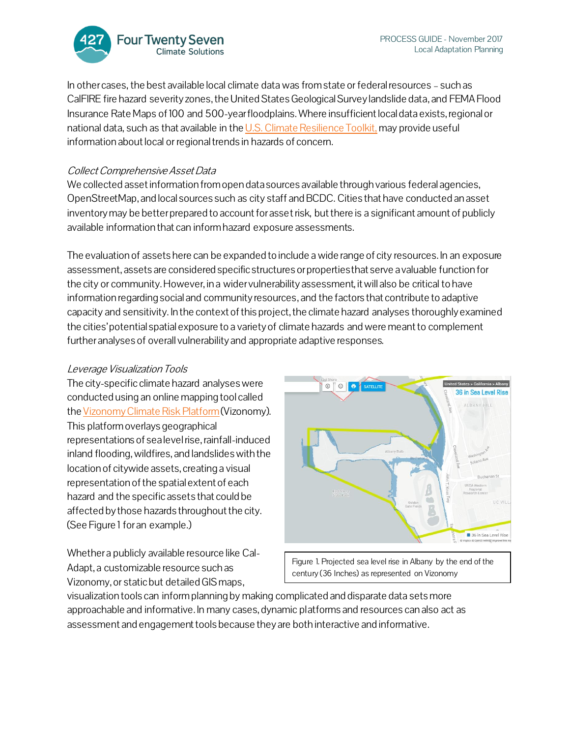

In other cases, the best available local climate data was from state or federal resources – such as CalFIRE fire hazard severity zones, the United States Geological Survey landslide data, and FEMA Flood Insurance Rate Maps of 100 and 500-year floodplains. Where insufficient local data exists, regional or national data, such as that available in th[e U.S. Climate Resilience Toolkit,](https://toolkit.climate.gov/) may provide useful information about local or regional trends in hazards of concern.

#### Collect Comprehensive Asset Data

We collected asset information from open data sources available through various federal agencies, OpenStreetMap, and local sources such as city staff and BCDC. Cities that have conducted an asset inventory may be better prepared to account for asset risk, but there is a significant amount of publicly available information that can inform hazard exposure assessments.

The evaluation of assets here can be expanded to include a wide range of city resources. In an exposure assessment,assets are considered specific structures or properties that serve a valuable function for the city or community. However, in a wider vulnerability assessment, it will also be critical to have information regarding social and community resources,and the factors that contribute to adaptive capacity and sensitivity. In the context of this project, the climate hazard analyses thoroughly examined the cities'potential spatial exposure to a variety of climate hazards and were meant to complement further analyses of overall vulnerability and appropriate adaptive responses.

#### Leverage Visualization Tools

The city-specific climate hazard analyses were conducted using an online mapping tool called th[e Vizonomy Climate Risk Platform](http://vizonomy.com/)(Vizonomy). This platform overlays geographical representations of sea level rise, rainfall-induced inland flooding, wildfires, and landslides with the location of citywide assets, creating a visual representation of the spatial extent of each hazard and the specific assets that could be affected by those hazards throughout the city. (See Figure 1 for an example.)

Whether a publicly available resource like Cal-Adapt, a customizable resource such as Vizonomy, or static but detailed GIS maps,



Figure 1. Projected sea level rise in Albany by the end of the century (36 Inches) as represented on Vizonomy

visualization tools can inform planning by making complicated and disparate data sets more approachable and informative. In many cases, dynamic platforms and resources can also act as assessment and engagement tools because they are both interactive and informative.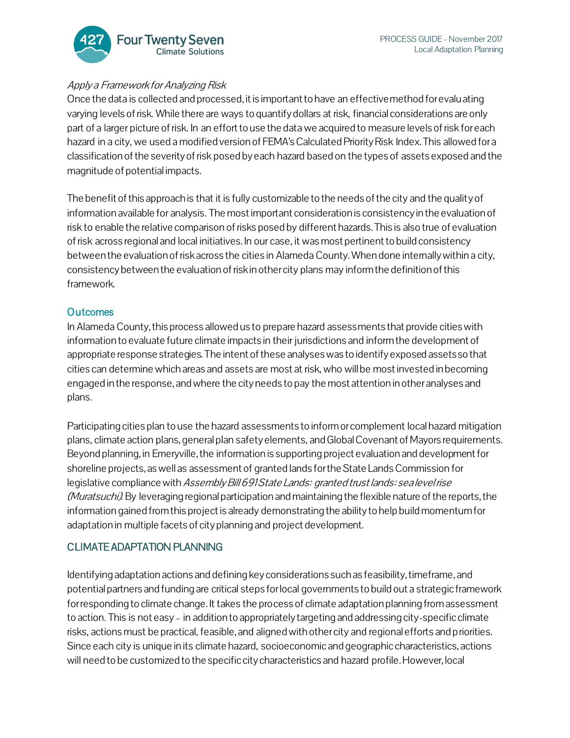

### Apply a Framework for Analyzing Risk

Once the data is collected and processed, it is important to have an effective method for evaluating varying levels of risk. While there are ways to quantify dollars at risk, financial considerations are only part of a larger picture of risk. In an effort to use the data we acquired to measure levels of risk for each hazard in a city, we used a modified version of FEMA's Calculated Priority Risk Index. This allowed for a classification of the severity of risk posed by each hazard based on the types of assets exposed and the magnitude of potential impacts.

The benefit of this approach is that it is fully customizable to the needs of the city and the qualityof information available for analysis. The most important consideration is consistency in the evaluation of risk to enable the relative comparison of risks posed by different hazards. This is also true of evaluation of risk across regional and local initiatives. In our case, it was most pertinent to build consistency between the evaluation of risk across the cities in Alameda County. When done internally within a city, consistency between the evaluation of risk in other city plans may inform the definition of this framework.

#### **Outcomes**

In Alameda County, this process allowed us to prepare hazard assessments that provide cities with information to evaluate future climate impacts in their jurisdictions and inform the development of appropriate response strategies. The intent of these analyses was to identify exposed assets so that cities can determine which areas and assets are most at risk, who will be most invested in becoming engaged in the response, and where the cityneeds to pay the most attention in other analyses and plans.

Participating cities plan to use the hazard assessments to inform or complement local hazard mitigation plans, climate action plans, general plan safety elements, and Global Covenant of Mayors requirements. Beyond planning, in Emeryville, the information is supporting project evaluation and development for shoreline projects, as well as assessment of granted lands for the State Lands Commission for legislative compliance with Assembly Bill 691 State Lands: granted trust lands: sea level rise (Muratsuchi). By leveraging regional participation and maintaining the flexible nature of the reports, the information gained from this project is already demonstrating the ability to help build momentum for adaptation in multiple facets of city planning and project development.

### CLIMATE ADAPTATION PLANNING

Identifying adaptation actions and defining key considerations such as feasibility, timeframe, and potential partners and funding are critical steps for local governments to build out a strategic framework for responding to climate change. It takes the process of climate adaptation planning from assessment to action. This is not easy – in addition to appropriately targeting and addressing city-specific climate risks, actions must be practical, feasible, and aligned with other city and regional efforts and priorities. Since each city is unique in its climate hazard, socioeconomic and geographic characteristics, actions will need to be customized to the specific city characteristics and hazard profile. However, local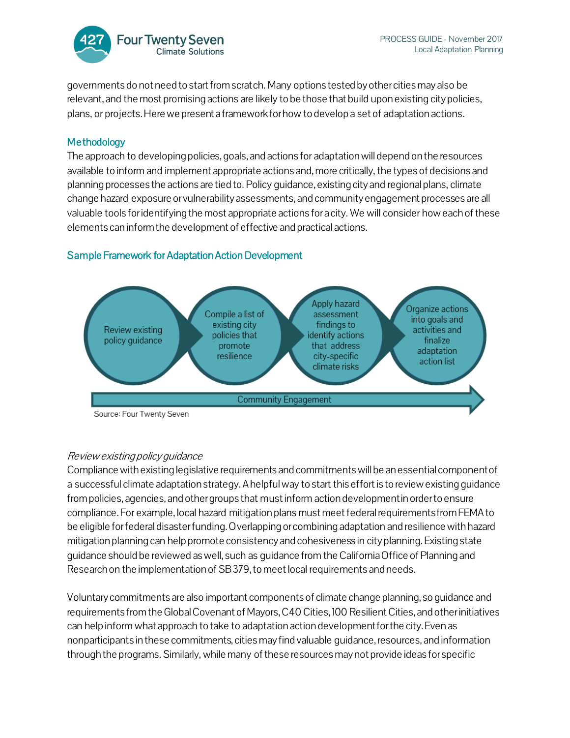

governments do not need to start from scratch. Many options tested by other cities may also be relevant, and the most promising actions are likely to be those that build upon existing city policies, plans, or projects. Here we present a framework for how to develop a set of adaptation actions.

### Methodology

The approach to developing policies, goals, and actions for adaptation will depend on the resources available to inform and implement appropriate actions and, more critically, the types of decisions and planning processes the actions are tied to. Policy guidance, existing city and regional plans, climate change hazard exposure or vulnerability assessments, and community engagement processes are all valuable tools for identifying the most appropriate actions for a city. We will consider how each of these elements can inform the development of effective and practical actions.

### Sample Framework for Adaptation Action Development



### Review existing policy guidance

Compliance with existing legislative requirements and commitments will be an essential component of a successful climate adaptation strategy. Ahelpful way to start this effort is to review existing guidance from policies, agencies, and other groups that must inform action development in order to ensure compliance. For example, local hazard mitigation plans must meet federal requirements from FEMA to be eligible for federal disaster funding. Overlapping or combining adaptation and resilience withhazard mitigation planning can help promote consistency and cohesiveness in city planning. Existing state guidance should be reviewed as well, such as guidance from the California Office of Planning and Research on the implementation of SB379, to meet local requirements and needs.

Voluntary commitments are also important components of climate change planning, so guidance and requirements from the Global Covenant of Mayors, C40 Cities, 100 Resilient Cities, and other initiatives can help inform what approach to take to adaptation action development for the city. Even as nonparticipants in these commitments, cities may find valuable guidance, resources, and information through the programs. Similarly, while many of these resources may not provide ideas for specific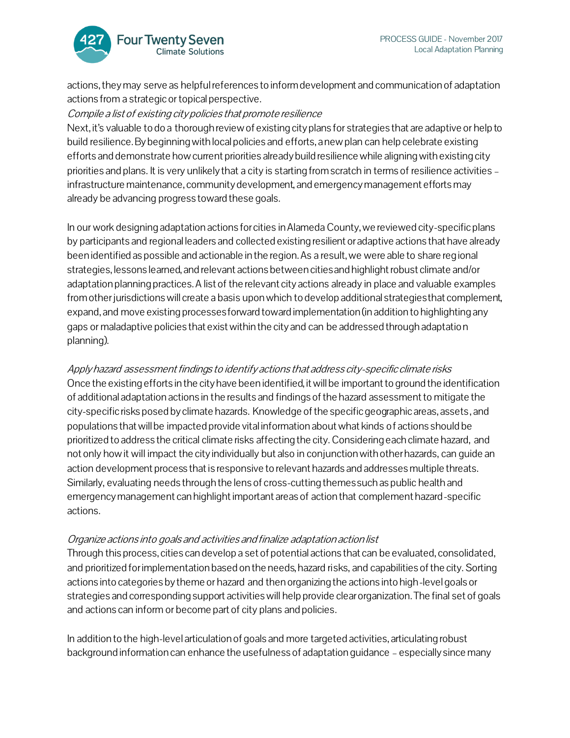

actions, they may serve as helpful references to inform development and communication of adaptation actions from a strategic or topical perspective.

#### Compile a list of existing city policies that promote resilience

Next, it's valuable to do a thorough review of existing city plans for strategies that are adaptive or help to build resilience. By beginning with local policies and efforts, a new plan can help celebrate existing efforts and demonstrate how current priorities already build resilience while aligning with existing city priorities and plans. It is very unlikely that a city is starting from scratch in terms of resilience activities – infrastructure maintenance, community development, and emergency management efforts may already be advancing progress toward these goals.

In our work designing adaptation actions for cities in Alameda County, we reviewed city-specific plans by participants and regional leaders and collected existing resilient or adaptive actions that have already been identified as possible and actionable in the region. As a result, we were able to share regional strategies, lessons learned, and relevant actions between cities and highlight robust climate and/or adaptation planning practices. A list of the relevant city actions already in place and valuable examples from other jurisdictions will create a basis upon which to develop additional strategies that complement, expand, and move existing processes forward toward implementation (in addition to highlighting any gaps or maladaptive policies that exist within the city and can be addressed through adaptation planning).

Apply hazard assessment findings to identifyactions that address city-specific climate risks Once the existing efforts in the city have been identified, it will be important to ground the identification of additional adaptation actions in the results and findings of the hazard assessment to mitigate the city-specific risks posed by climate hazards. Knowledge of the specific geographic areas, assets, and populations that will be impacted provide vital information about what kinds of actions should be prioritized to address the critical climate risks affecting the city. Considering each climate hazard, and not only how it will impact the city individually but also in conjunction with other hazards, can guide an action development process that is responsive to relevant hazards and addresses multiple threats. Similarly, evaluating needs through the lens of cross-cutting themes such as public health and emergency management can highlight important areas of action that complement hazard-specific actions.

#### Organize actions into goals and activities and finalize adaptation action list

Through this process, cities can develop a set of potential actions that can be evaluated, consolidated, and prioritized for implementation based on the needs, hazard risks, and capabilities of the city. Sorting actions into categories by theme or hazard and then organizing the actions into high-level goals or strategies and corresponding support activities will help provide clearorganization. The final set of goals and actions can inform or become part of city plans and policies.

In addition to the high-level articulation of goals and more targeted activities, articulating robust background information can enhance the usefulness of adaptation guidance – especially since many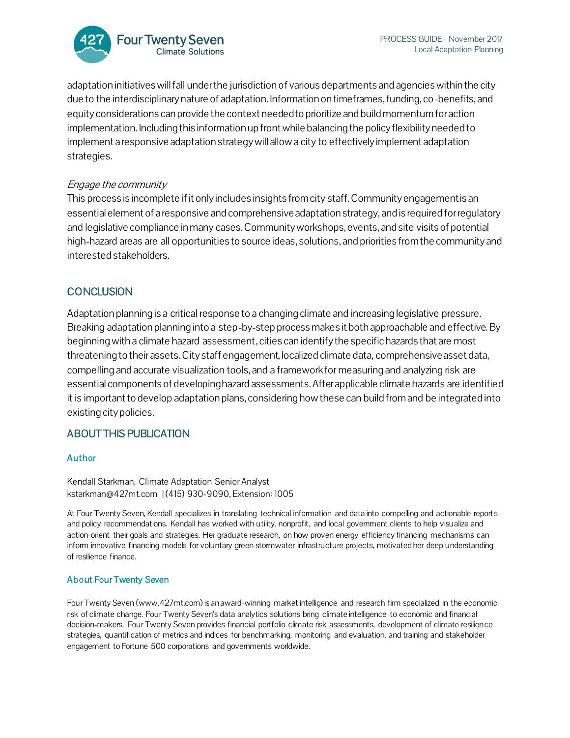

adaptation initiatives will fall under the jurisdiction of various departments and agencies within the city due to the interdisciplinary nature of adaptation. Information on timeframes, funding, co-benefits, and equity considerations can provide the context needed to prioritize and build momentum for action implementation. Including this information up front while balancing the policy flexibility needed to implement a responsive adaptation strategy will allow a city to effectively implement adaptation strategies.

#### Engage the community

This process is incomplete if it only includes insights from city staff. Community engagement is an essential element of a responsive and comprehensive adaptation strategy, and is required for regulatory and legislative compliance in many cases. Community workshops, events, and site visits of potential high-hazard areas are all opportunities to source ideas, solutions, and priorities from the community and interested stakeholders.

### **CONCLUSION**

Adaptation planning is a critical response to a changing climate and increasing legislative pressure. Breaking adaptation planning into a step-by-step process makes it both approachable and effective. By beginning with a climate hazard assessment, cities can identify the specific hazards that are most threatening to their assets. City staff engagement, localized climate data, comprehensive asset data, compelling and accurate visualization tools, and a framework for measuring and analyzing risk are essential components of developing hazard assessments. After applicable climate hazards are identified it is important to develop adaptation plans, considering how these can build from and be integrated into existing citypolicies.

### ABOUT THIS PUBLICATION

#### Author

Kendall Starkman, Climate Adaptation Senior Analyst [kstarkman@427mt.com](http://427mt.com/our-team/kstarkman@427mt.com) | (415) 930-9090, Extension: 1005

At Four Twenty Seven, Kendall specializes in translating technical information and data into compelling and actionable report s and policy recommendations. Kendall has worked with utility, nonprofit, and local government clients to help visualize and action-orient their goals and strategies. Her graduate research, on how proven energy efficiency financing mechanisms can inform innovative financing models for voluntary green stormwater infrastructure projects, motivated her deep understanding of resilience finance.

#### About Four Twenty Seven

Four Twenty Seven (www.427mt.com) is an award-winning market intelligence and research firm specialized in the economic risk of climate change. Four Twenty Seven's data analytics solutions bring climate intelligence to economic and financial decision-makers. Four Twenty Seven provides financial portfolio climate risk assessments, development of climate resilience strategies, quantification of metrics and indices for benchmarking, monitoring and evaluation, and training and stakeholder engagement to Fortune 500 corporations and governments worldwide.